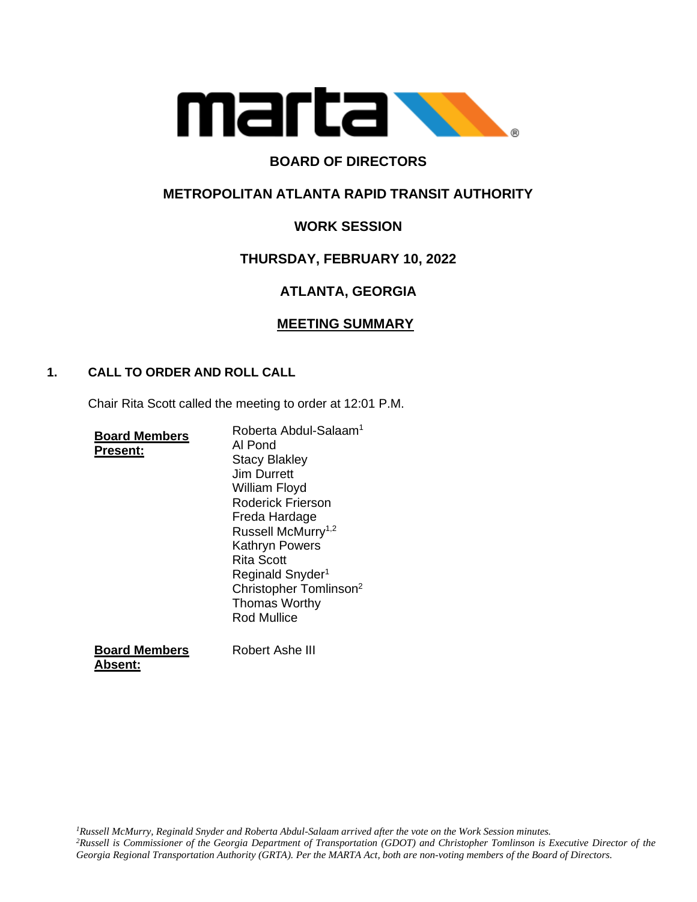

# **BOARD OF DIRECTORS**

## **METROPOLITAN ATLANTA RAPID TRANSIT AUTHORITY**

# **WORK SESSION**

## **THURSDAY, FEBRUARY 10, 2022**

# **ATLANTA, GEORGIA**

## **MEETING SUMMARY**

### **1. CALL TO ORDER AND ROLL CALL**

Chair Rita Scott called the meeting to order at 12:01 P.M.

|                 | <b>Board Members</b> |
|-----------------|----------------------|
| <b>Present:</b> |                      |

Roberta Abdul-Salaam<sup>1</sup> Al Pond Stacy Blakley Jim Durrett William Floyd Roderick Frierson Freda Hardage Russell McMurry<sup>1,2</sup> Kathryn Powers Rita Scott Reginald Snyder<sup>1</sup> Christopher Tomlinson<sup>2</sup> Thomas Worthy Rod Mullice

**Board Members Absent:** Robert Ashe III